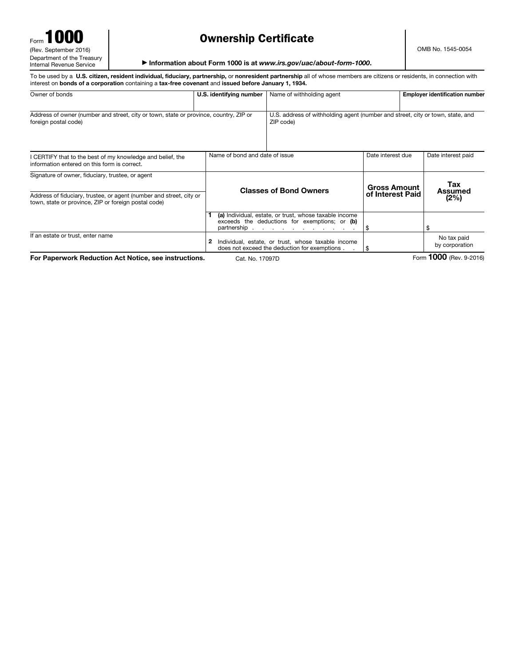| Form 1000                  |
|----------------------------|
| (Rev. September 2016)      |
| Department of the Treasury |
| Internal Revenue Service   |

## Ownership Certificate

OMB No. 1545-0054

▶ Information about Form 1000 is at *www.irs.gov/uac/about-form-1000*.

To be used by a U.S. citizen, resident individual, fiduciary, partnership, or nonresident partnership all of whose members are citizens or residents, in connection with interest on bonds of a corporation containing a tax-free covenant and issued before January 1, 1934. Owner of bonds **Employer identification number | U.S. identifying number | Name of withholding agent Employer identification number** Address of owner (number and street, city or town, state or province, country, ZIP or foreign postal code) U.S. address of withholding agent (number and street, city or town, state, and ZIP code) I CERTIFY that to the best of my knowledge and belief, the information entered on this form is correct. Name of bond and date of issue Date interest due Date interest paid Signature of owner, fiduciary, trustee, or agent Address of fiduciary, trustee, or agent (number and street, city or town, state or province, ZIP or foreign postal code) If an estate or trust, enter name Classes of Bond Owners Gross Amount of Interest Paid Tax Assumed (2%) 1 (a) Individual, estate, or trust, whose taxable income exceeds the deductions for exemptions; or (b) partnership . . . . . . . . . . . \$ \$ 2 Individual, estate, or trust, whose taxable income does not exceed the deduction for exemptions . No tax paid by corporation For Paperwork Reduction Act Notice, see instructions. Cat. No. 17097D Form 1000 (Rev. 9-2016)